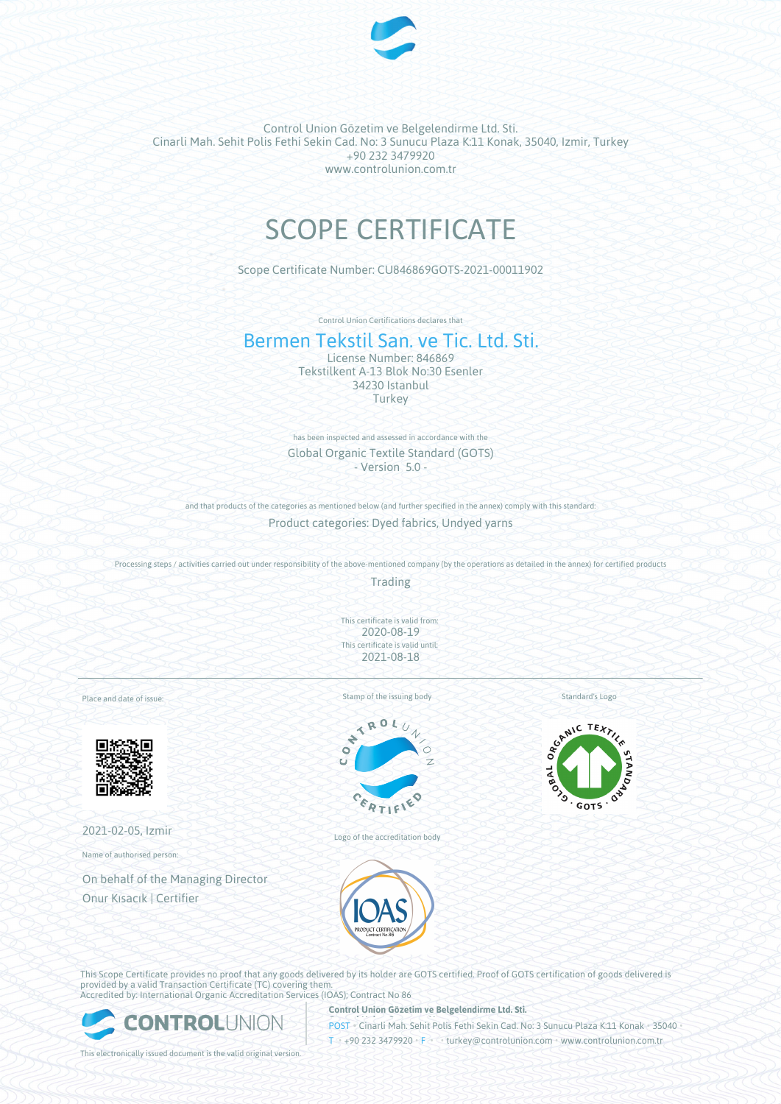

Control Union Gözetim ve Belgelendirme Ltd. Sti. Cinarli Mah. Sehit Polis Fethi Sekin Cad. No: 3 Sunucu Plaza K:11 Konak, 35040, Izmir, Turkey +90 232 3479920 www.controlunion.com.tr

# SCOPE CERTIFICATE

Scope Certificate Number: CU846869GOTS-2021-00011902

Control Union Certifications declares that

## Bermen Tekstil San. ve Tic. Ltd. Sti.

License Number: 846869 Tekstilkent A-13 Blok No:30 Esenler 34230 Istanbul **Turkey** 

has been inspected and assessed in accordance with the Global Organic Textile Standard (GOTS) - Version 5.0 -

and that products of the categories as mentioned below (and further specified in the annex) comply with this standard:

Product categories: Dyed fabrics, Undyed yarns

Processing steps / activities carried out under responsibility of the above-mentioned company (by the operations as detailed in the annex) for certified products

Trading

This certificate is valid from: 2020-08-19 This certificate is valid until: 2021-08-18

Place and date of issue:



2021-02-05, Izmir

Name of authorised person:

On behalf of the Managing Director Onur Kısacık | Certifier

Stamp of the issuing body



Logo of the accreditation body



Standard's Logo

 $\sigma^2$ ∕े **GOTS** 

This Scope Certificate provides no proof that any goods delivered by its holder are GOTS certified. Proof of GOTS certification of goods delivered is provided by a valid Transaction Certificate (TC) covering them. Accredited by: International Organic Accreditation Services (IOAS); Contract No 86



**Control Union Gözetim ve Belgelendirme Ltd. Sti.**

POST • Cinarli Mah. Sehit Polis Fethi Sekin Cad. No: 3 Sunucu Plaza K:11 Konak • 35040 •

This electronically issued document is the valid original version.

T • +90 232 3479920 • F • • turkey@controlunion.com • www.controlunion.com.tr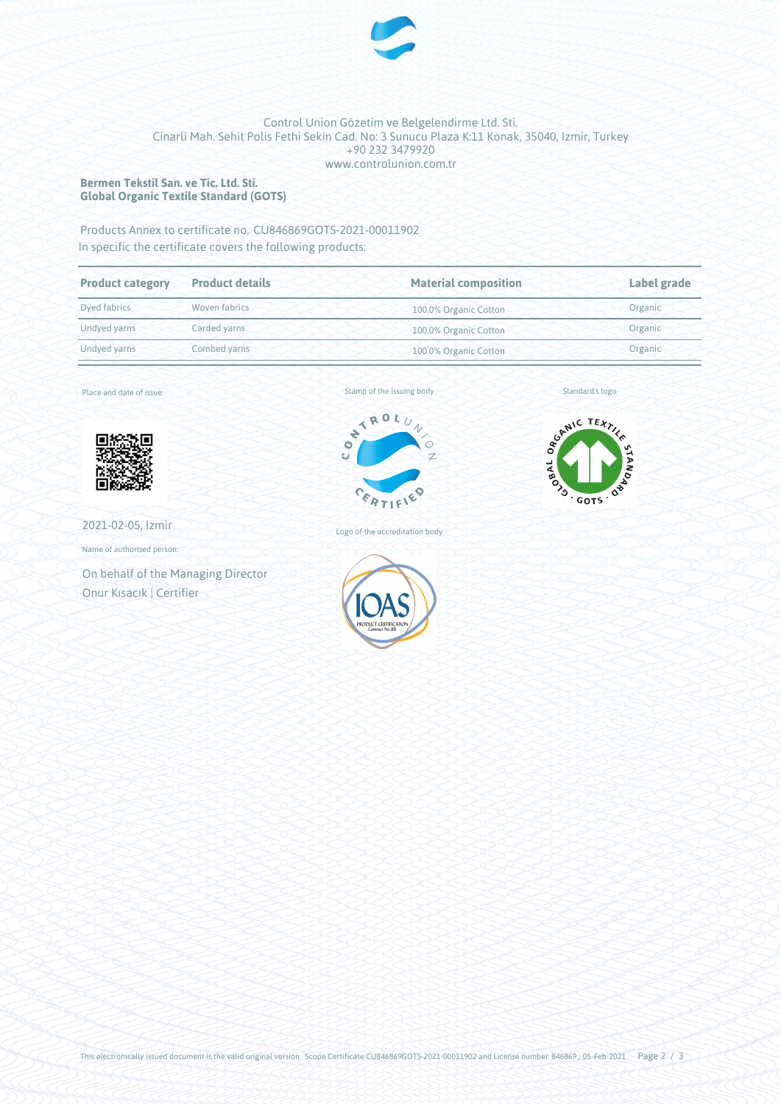

#### Control Union Gözetim ve Belgelendirme Ltd. Sti. Cinarli Mah. Sehit Polis Fethi Sekin Cad. No: 3 Sunucu Plaza K:11 Konak, 35040, Izmir, Turkey +90 232 3479920 www.controlunion.com.tr

#### **Bermen Tekstil San. ve Tic. Ltd. Sti. Global Organic Textile Standard (GOTS)**

### Products Annex to certificate no. CU846869GOTS-2021-00011902 In specific the certificate covers the following products:

| <b>Product category</b>       | <b>Product details</b> | <b>Material composition</b> | Label grade |  |
|-------------------------------|------------------------|-----------------------------|-------------|--|
| Woven fabrics<br>Dyed fabrics |                        | 100.0% Organic Cotton       | Organic     |  |
| Undyed yarns                  | Carded yarns           | 100.0% Organic Cotton       | Organic     |  |
| Combed yarns<br>Undyed yarns  |                        | 100.0% Organic Cotton       | Organic     |  |

Place and date of issue:



2021-02-05, Izmir

Name of authorised person:

On behalf of the Managing Director Onur Kısacık | Certifier



Logo of the accreditation body



Standard's logo